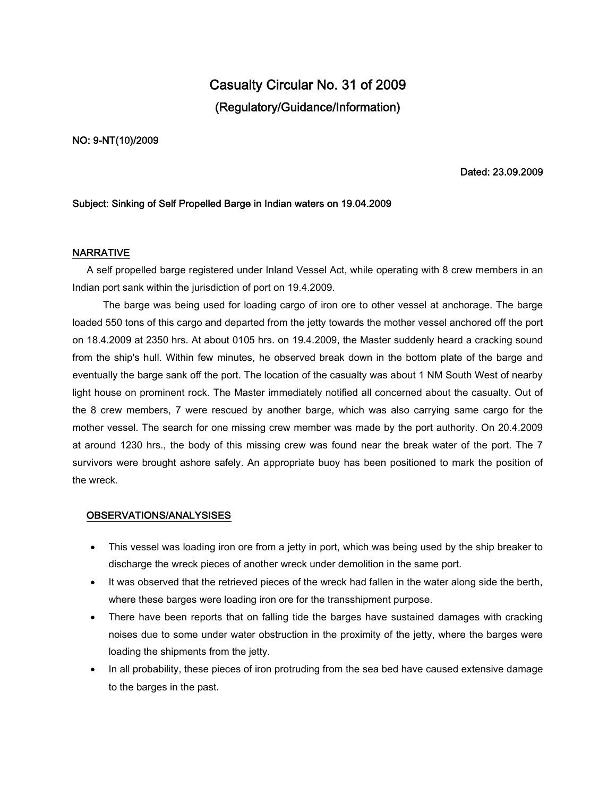# **Casualty Circular No. 31 of 2009 (Regulatory/Guidance/Information)**

**NO: 9-NT(10)/2009**

**Dated: 23.09.2009**

#### **Subject: Sinking of Self Propelled Barge in Indian waters on 19.04.2009**

#### **NARRATIVE**

A self propelled barge registered under Inland Vessel Act, while operating with 8 crew members in an Indian port sank within the jurisdiction of port on 19.4.2009.

The barge was being used for loading cargo of iron ore to other vessel at anchorage. The barge loaded 550 tons of this cargo and departed from the jetty towards the mother vessel anchored off the port on 18.4.2009 at 2350 hrs. At about 0105 hrs. on 19.4.2009, the Master suddenly heard a cracking sound from the ship's hull. Within few minutes, he observed break down in the bottom plate of the barge and eventually the barge sank off the port. The location of the casualty was about 1 NM South West of nearby light house on prominent rock. The Master immediately notified all concerned about the casualty. Out of the 8 crew members, 7 were rescued by another barge, which was also carrying same cargo for the mother vessel. The search for one missing crew member was made by the port authority. On 20.4.2009 at around 1230 hrs., the body of this missing crew was found near the break water of the port. The 7 survivors were brought ashore safely. An appropriate buoy has been positioned to mark the position of the wreck.

### **OBSERVATIONS/ANALYSISES**

- This vessel was loading iron ore from a jetty in port, which was being used by the ship breaker to discharge the wreck pieces of another wreck under demolition in the same port.
- It was observed that the retrieved pieces of the wreck had fallen in the water along side the berth, where these barges were loading iron ore for the transshipment purpose.
- There have been reports that on falling tide the barges have sustained damages with cracking noises due to some under water obstruction in the proximity of the jetty, where the barges were loading the shipments from the jetty.
- In all probability, these pieces of iron protruding from the sea bed have caused extensive damage to the barges in the past.